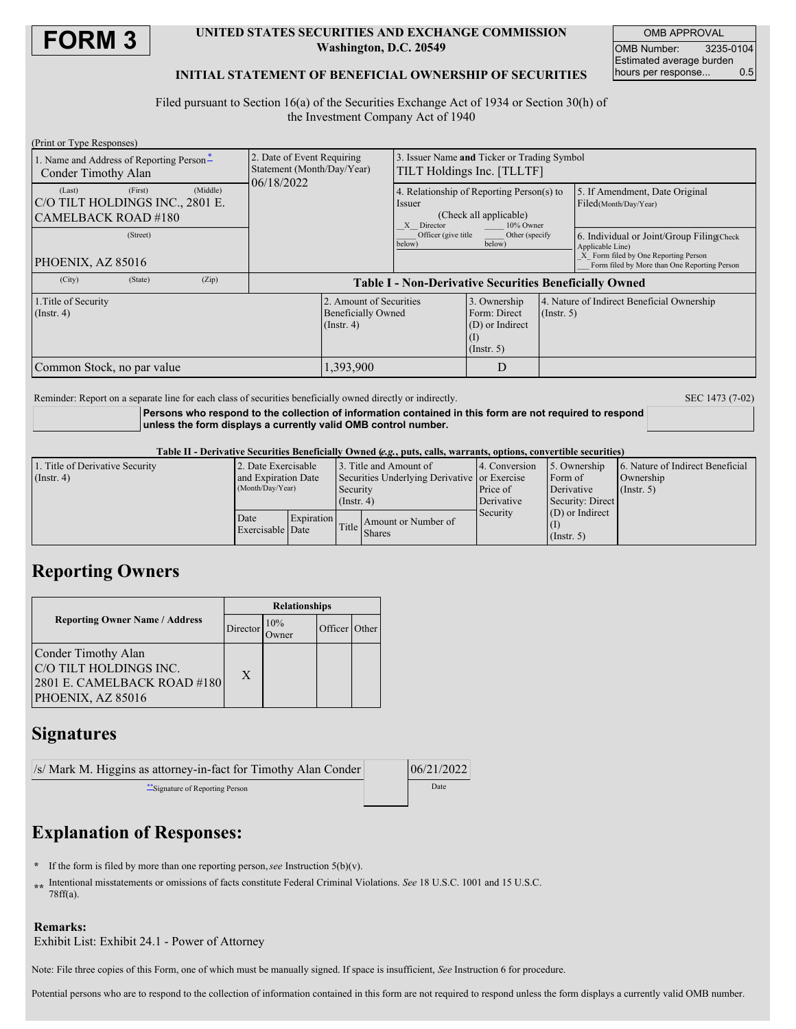

### **UNITED STATES SECURITIES AND EXCHANGE COMMISSION Washington, D.C. 20549**

OMB APPROVAL OMB Number: 3235-0104 Estimated average burden<br>hours per response... 0.5 hours per response...

## **INITIAL STATEMENT OF BENEFICIAL OWNERSHIP OF SECURITIES**

Filed pursuant to Section 16(a) of the Securities Exchange Act of 1934 or Section 30(h) of the Investment Company Act of 1940

| (Print or Type Responses)                                        |                     |                                                                          |                                                                                                              |                                                                     |                  |                                                                                                                                                       |  |
|------------------------------------------------------------------|---------------------|--------------------------------------------------------------------------|--------------------------------------------------------------------------------------------------------------|---------------------------------------------------------------------|------------------|-------------------------------------------------------------------------------------------------------------------------------------------------------|--|
| 1. Name and Address of Reporting Person-<br>Conder Timothy Alan  |                     | 2. Date of Event Requiring<br>Statement (Month/Day/Year)                 | 3. Issuer Name and Ticker or Trading Symbol<br>TILT Holdings Inc. [TLLTF]                                    |                                                                     |                  |                                                                                                                                                       |  |
| (Last)<br>C/O TILT HOLDINGS INC., 2801 E.<br>CAMELBACK ROAD #180 | (Middle)<br>(First) | 06/18/2022                                                               | 4. Relationship of Reporting Person(s) to<br>Issuer<br>(Check all applicable)<br>10% Owner<br>Director<br>X. |                                                                     |                  | 5. If Amendment, Date Original<br>Filed(Month/Day/Year)                                                                                               |  |
| PHOENIX, AZ 85016                                                | (Street)            |                                                                          | Officer (give title<br>below)                                                                                | Other (specify<br>below)                                            |                  | 6. Individual or Joint/Group Filing(Check<br>Applicable Line)<br>X Form filed by One Reporting Person<br>Form filed by More than One Reporting Person |  |
| (City)                                                           | (Zip)<br>(State)    | <b>Table I - Non-Derivative Securities Beneficially Owned</b>            |                                                                                                              |                                                                     |                  |                                                                                                                                                       |  |
| 1. Title of Security<br>$($ Instr. 4 $)$                         |                     | 2. Amount of Securities<br><b>Beneficially Owned</b><br>$($ Instr. 4 $)$ |                                                                                                              | 3. Ownership<br>Form: Direct<br>(D) or Indirect<br>$($ Instr. 5 $)$ | $($ Instr. 5 $)$ | 4. Nature of Indirect Beneficial Ownership                                                                                                            |  |
| Common Stock, no par value                                       |                     |                                                                          | 1,393,900                                                                                                    |                                                                     |                  |                                                                                                                                                       |  |

Reminder: Report on a separate line for each class of securities beneficially owned directly or indirectly. SEC 1473 (7-02)

**Persons who respond to the collection of information contained in this form are not required to respond unless the form displays a currently valid OMB control number.**

#### Table II - Derivative Securities Beneficially Owned (e.g., puts, calls, warrants, options, convertible securities)

| 1. Title of Derivative Security | 2. Date Exercisable      |  | 13. Title and Amount of                      |                                                           | 4. Conversion | 5. Ownership      | 6. Nature of Indirect Beneficial |  |
|---------------------------------|--------------------------|--|----------------------------------------------|-----------------------------------------------------------|---------------|-------------------|----------------------------------|--|
| $($ Instr. 4 $)$                | and Expiration Date      |  | Securities Underlying Derivative or Exercise |                                                           |               | Form of           | Ownership                        |  |
|                                 | (Month/Day/Year)         |  | Security                                     |                                                           | Price of      | Derivative        | $($ Instr. 5 $)$                 |  |
|                                 |                          |  | $($ Instr. 4 $)$                             |                                                           | Derivative    | Security: Direct  |                                  |  |
|                                 | Date<br>Exercisable Date |  | <b>Expiration</b>                            | Amount or Number of<br>$\left \text{Title}\right $ Shares | Security      | $(D)$ or Indirect |                                  |  |
|                                 |                          |  |                                              |                                                           |               |                   |                                  |  |
|                                 |                          |  |                                              |                                                           |               | $($ Instr. 5 $)$  |                                  |  |

# **Reporting Owners**

|                                                                                                   | <b>Relationships</b> |     |         |              |  |
|---------------------------------------------------------------------------------------------------|----------------------|-----|---------|--------------|--|
| <b>Reporting Owner Name / Address</b>                                                             | Director             | 10% | Officer | <b>Other</b> |  |
| Conder Timothy Alan<br>C/O TILT HOLDINGS INC.<br>2801 E. CAMELBACK ROAD #180<br>PHOENIX, AZ 85016 | X                    |     |         |              |  |

# **Signatures**

| /s/ Mark M. Higgins as attorney-in-fact for Timothy Alan Conder | 06/21/2022 |
|-----------------------------------------------------------------|------------|
| Signature of Reporting Person                                   | Date       |

# **Explanation of Responses:**

- **\*** If the form is filed by more than one reporting person,*see* Instruction 5(b)(v).
- **\*\*** Intentional misstatements or omissions of facts constitute Federal Criminal Violations. *See* 18 U.S.C. 1001 and 15 U.S.C. 78ff(a).

## **Remarks:**

Exhibit List: Exhibit 24.1 - Power of Attorney

Note: File three copies of this Form, one of which must be manually signed. If space is insufficient, *See* Instruction 6 for procedure.

Potential persons who are to respond to the collection of information contained in this form are not required to respond unless the form displays a currently valid OMB number.